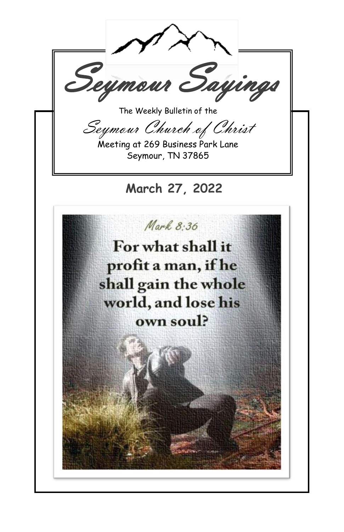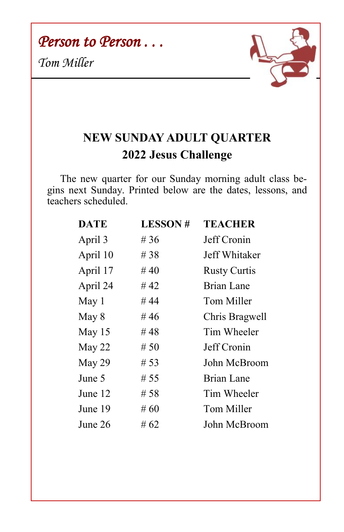*Person to Person . . .* 

*Tom Miller*



## **NEW SUNDAY ADULT QUARTER 2022 Jesus Challenge**

The new quarter for our Sunday morning adult class begins next Sunday. Printed below are the dates, lessons, and teachers scheduled.

| <b>DATE</b> | <b>LESSON#</b> | <b>TEACHER</b>      |
|-------------|----------------|---------------------|
| April 3     | # 36           | Jeff Cronin         |
| April 10    | # 38           | Jeff Whitaker       |
| April 17    | #40            | <b>Rusty Curtis</b> |
| April 24    | # 42           | <b>Brian Lane</b>   |
| May 1       | # 44           | Tom Miller          |
| May 8       | # 46           | Chris Bragwell      |
| May 15      | #48            | Tim Wheeler         |
| May 22      | # 50           | Jeff Cronin         |
| May 29      | # 53           | John McBroom        |
| June 5      | # 55           | Brian Lane          |
| June 12     | # 58           | Tim Wheeler         |
| June 19     | #60            | Tom Miller          |
| June 26     | # 62           | John McBroom        |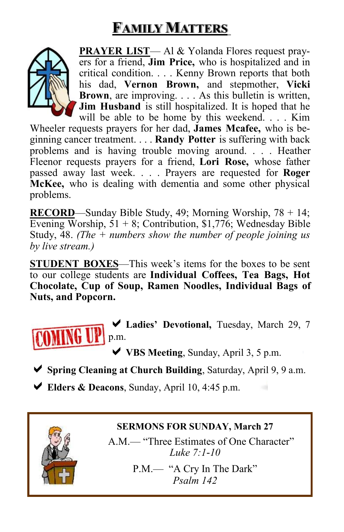# **FAMILY MATTERS**



**PRAYER LIST**— Al & Yolanda Flores request prayers for a friend, **Jim Price,** who is hospitalized and in critical condition. . . . Kenny Brown reports that both his dad, **Vernon Brown,** and stepmother, **Vicki Brown**, are improving. . . . As this bulletin is written, **Jim Husband** is still hospitalized. It is hoped that he will be able to be home by this weekend. . . . Kim

Wheeler requests prayers for her dad, **James Mcafee,** who is beginning cancer treatment. . . . **Randy Potter** is suffering with back problems and is having trouble moving around. . . . Heather Fleenor requests prayers for a friend, **Lori Rose,** whose father passed away last week. . . . Prayers are requested for **Roger McKee,** who is dealing with dementia and some other physical problems.

**RECORD**—Sunday Bible Study, 49; Morning Worship, 78 + 14; Evening Worship,  $51 + 8$ ; Contribution, \$1,776; Wednesday Bible Study, 48. *(The + numbers show the number of people joining us by live stream.)*

**STUDENT BOXES**—This week's items for the boxes to be sent to our college students are **Individual Coffees, Tea Bags, Hot Chocolate, Cup of Soup, Ramen Noodles, Individual Bags of Nuts, and Popcorn.**



**Ladies' Devotional,** Tuesday, March 29, 7 p.m.

◆ **VBS Meeting**, Sunday, April 3, 5 p.m.

- **Spring Cleaning at Church Building**, Saturday, April 9, 9 a.m.
- **Elders & Deacons**, Sunday, April 10, 4:45 p.m.



#### **SERMONS FOR SUNDAY, March 27**

A.M.— "Three Estimates of One Character" *Luke 7:1-10*

> P.M.— "A Cry In The Dark" *Psalm 142*